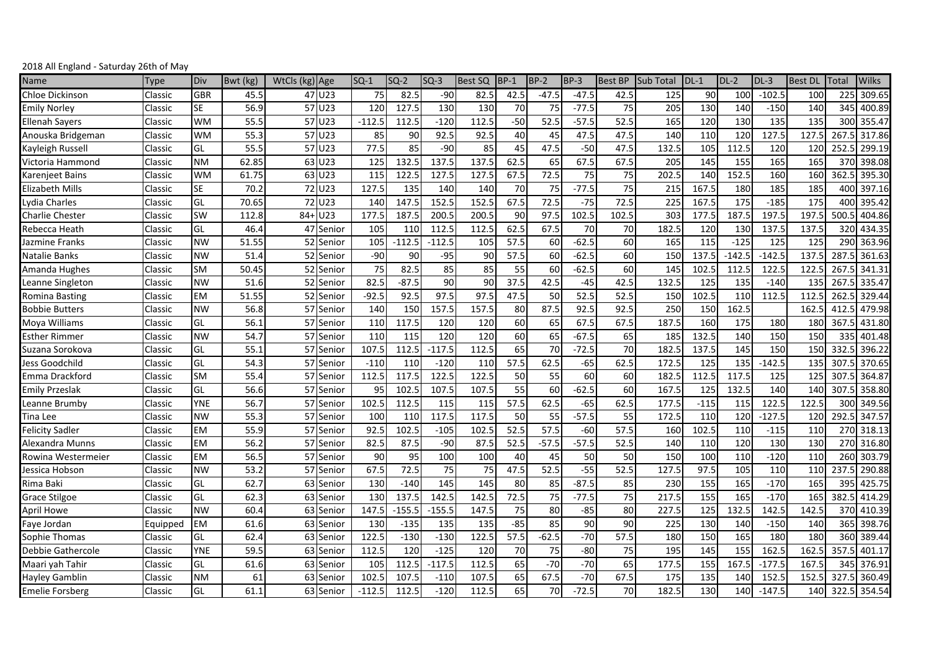| Name                   | Type     | Div        | Bwt (kg) | WtCls (kg) Age |           | $SO-1$   | $SQ-2$   | $SO-3$   | <b>Best SQ</b> | $BP-1$ | <b>BP-2</b> | BP-3    | <b>Best BP</b> | <b>Sub Total</b> | $DL-1$ | $DL-2$   | $DL-3$   | <b>Best DL</b> | Total | <b>Wilks</b> |
|------------------------|----------|------------|----------|----------------|-----------|----------|----------|----------|----------------|--------|-------------|---------|----------------|------------------|--------|----------|----------|----------------|-------|--------------|
| Chloe Dickinson        | Classic  | <b>GBR</b> | 45.5     |                | 47 U23    | 75       | 82.5     | $-90$    | 82.5           | 42.5   | $-47.5$     | $-47.5$ | 42.5           | 125              | 90     | 100      | $-102.5$ | 100            | 225   | 309.65       |
| <b>Emily Norley</b>    | Classic  | <b>SE</b>  | 56.9     |                | 57 U23    | 120      | 127.5    | 130      | 130            | 70     | 75          | $-77.5$ | 75             | 205              | 130    | 140      | $-150$   | 140            | 345   | 400.89       |
| <b>Ellenah Sayers</b>  | Classic  | <b>WM</b>  | 55.5     |                | 57 U23    | $-112.5$ | 112.5    | $-120$   | 112.5          | $-50$  | 52.5        | $-57.5$ | 52.5           | 165              | 120    | 130      | 135      | 135            | 300   | 355.47       |
| Anouska Bridgeman      | Classic  | <b>WM</b>  | 55.3     |                | 57 U23    | 85       | 90       | 92.5     | 92.5           | 40     | 45          | 47.5    | 47.5           | 140              | 110    | 120      | 127.5    | 127.5          | 267.5 | 317.86       |
| Kayleigh Russel        | Classic  | GL         | 55.5     |                | 57 U23    | 77.5     | 85       | $-90$    | 85             | 45     | 47.5        | $-50$   | 47.5           | 132.5            | 105    | 112.5    | 120      | 120            | 252.5 | 299.19       |
| Victoria Hammond       | Classic  | <b>NM</b>  | 62.85    |                | 63 U23    | 125      | 132.5    | 137.5    | 137.5          | 62.5   | 65          | 67.5    | 67.5           | 205              | 145    | 155      | 165      | 165            | 370   | 398.08       |
| Karenjeet Bains        | Classic  | WM         | 61.75    |                | 63 U23    | 115      | 122.5    | 127.5    | 127.5          | 67.5   | 72.5        | 75      | 75             | 202.5            | 140    | 152.5    | 160      | 160            | 362.5 | 395.30       |
| <b>Elizabeth Mills</b> | Classic  | <b>SE</b>  | 70.2     |                | 72 U23    | 127.5    | 135      | 140      | 140            | 70     | 75          | $-77.5$ | 75             | 215              | 167.5  | 180      | 185      | 185            | 400   | 397.16       |
| Lydia Charles          | Classic  | GL         | 70.65    |                | 72 U23    | 140      | 147.5    | 152.5    | 152.5          | 67.5   | 72.5        | $-75$   | 72.5           | 225              | 167.5  | 175      | $-185$   | 175            | 400   | 395.42       |
| <b>Charlie Chester</b> | Classic  | SW         | 112.8    | $84 +$         | U23       | 177.5    | 187.5    | 200.5    | 200.5          | 90     | 97.5        | 102.5   | 102.5          | 30 <sup>3</sup>  | 177.5  | 187.5    | 197.5    | 197.5          | 500.5 | 404.86       |
| Rebecca Heath          | Classic  | GL         | 46.4     |                | 47 Senior | 105      | 110      | 112.5    | 112.5          | 62.5   | 67.5        | 70      | 70             | 182.             | 120    | 130      | 137.5    | 137.5          | 320   | 434.35       |
| Jazmine Franks         | Classic  | <b>NW</b>  | 51.55    |                | 52 Senior | 105      | $-112.5$ | $-112.5$ | 105            | 57.5   | 60          | $-62.5$ | 60             | 165              | 115    | $-125$   | 125      | 125            | 290   | 363.96       |
| Natalie Banks          | Classic  | <b>NW</b>  | 51.4     |                | 52 Senior | $-90$    | 90       | $-95$    | 90             | 57.5   | 60          | $-62.5$ | 60             | 150              | 137.5  | $-142.5$ | $-142.5$ | 137.5          | 287.5 | 361.63       |
| Amanda Hughes          | Classic  | <b>SM</b>  | 50.45    |                | 52 Senior | 75       | 82.5     | 85       | 85             | 55     | 60          | $-62.5$ | 60             | 145              | 102.5  | 112.5    | 122.5    | 122.5          | 267.5 | 341.31       |
| Leanne Singleton       | Classic  | <b>NW</b>  | 51.6     |                | 52 Senior | 82.5     | $-87.5$  | 90       | 90             | 37.5   | 42.5        | $-45$   | 42.5           | 132.5            | 125    | 135      | $-140$   | 135            | 267.5 | 335.47       |
| <b>Romina Basting</b>  | Classic  | <b>EM</b>  | 51.55    |                | 52 Senior | $-92.5$  | 92.5     | 97.5     | 97.5           | 47.5   | 50          | 52.5    | 52.5           | 150              | 102.5  | 110      | 112.5    | 112.5          | 262.5 | 329.44       |
| <b>Bobbie Butters</b>  | Classic  | <b>NW</b>  | 56.8     |                | 57 Senior | 140      | 150      | 157.5    | 157.5          | 80     | 87.5        | 92.5    | 92.5           | 250              | 150    | 162.5    |          | 162.5          | 412.  | 479.98       |
| Moya Williams          | Classic  | GL         | 56.1     |                | 57 Senior | 110      | 117.5    | 120      | 120            | 60     | 65          | 67.5    | 67.5           | 187.5            | 160    | 175      | 180      | 180            | 367.5 | 431.80       |
| <b>Esther Rimmer</b>   | Classic  | <b>NW</b>  | 54.7     |                | 57 Senior | 110      | 115      | 120      | 120            | 60     | 65          | $-67.5$ | 65             | 185              | 132.5  | 140      | 150      | 150            | 335   | 401.48       |
| Suzana Sorokova        | Classic  | GL         | 55.1     |                | 57 Senior | 107.5    | 112.5    | $-117.5$ | 112.5          | 65     | 70          | $-72.5$ | 70             | 182.5            | 137.5  | 145      | 150      | 150            | 332.5 | 396.22       |
| Jess Goodchild         | Classic  | GL         | 54.3     |                | 57 Senior | $-110$   | 110      | $-120$   | 110            | 57.5   | 62.5        | $-65$   | 62.5           | 172.5            | 125    | 135      | $-142.5$ | 135            | 307.5 | 370.65       |
| Emma Drackford         | Classic  | <b>SM</b>  | 55.4     |                | 57 Senior | 112.5    | 117.5    | 122.5    | 122.5          | 50     | 55          | 60      | 60             | 182.             | 112.5  | 117.5    | 125      | 125            | 307.5 | 364.87       |
| <b>Emily Przeslak</b>  | Classic  | GL         | 56.6     |                | 57 Senior | 95       | 102.5    | 107.5    | 107.5          | 55     | 60          | $-62.5$ | 60             | 167.             | 125    | 132.5    | 140      | 140            | 307.5 | 358.80       |
| Leanne Brumby          | Classic  | YNE        | 56.7     |                | 57 Senior | 102.5    | 112.5    | 115      | 115            | 57.5   | 62.5        | $-65$   | 62.5           | 177.5            | $-115$ | 115      | 122.5    | 122.5          | 300   | 349.56       |
| Tina Lee               | Classic  | <b>NW</b>  | 55.3     |                | 57 Senior | 100      | 110      | 117.5    | 117.5          | 50     | 55          | $-57.5$ | 55             | 172.5            | 110    | 120      | $-127.5$ | 120            | 292.5 | 347.57       |
| <b>Felicity Sadler</b> | Classic  | <b>EM</b>  | 55.9     |                | 57 Senior | 92.5     | 102.5    | $-105$   | 102.5          | 52.5   | 57.5        | $-60$   | 57.5           | 160              | 102.5  | 110      | $-115$   | 110            | 270   | 318.13       |
| Alexandra Munns        | Classic  | <b>EM</b>  | 56.2     |                | 57 Senior | 82.5     | 87.5     | $-90$    | 87.5           | 52.5   | $-57.5$     | $-57.5$ | 52.5           | 140              | 110    | 120      | 130      | 130            | 270   | 316.80       |
| Rowina Westermeier     | Classic  | EM         | 56.5     |                | 57 Senior | 90       | 95       | 100      | 100            | 40     | 45          | 50      | 50             | 150              | 100    | 110      | $-120$   | 110            | 260   | 303.79       |
| Jessica Hobson         | Classic  | <b>NW</b>  | 53.2     |                | 57 Senior | 67.5     | 72.5     | 75       | 75             | 47.5   | 52.5        | $-55$   | 52.5           | 127.5            | 97.5   | 105      | 110      | 110            | 237.  | 290.88       |
| Rima Baki              | Classic  | GL         | 62.7     |                | 63 Senior | 130      | $-140$   | 145      | 145            | 80     | 85          | $-87.5$ | 85             | 230              | 155    | 165      | $-170$   | 165            | 395   | 425.75       |
| <b>Grace Stilgoe</b>   | Classic  | GL         | 62.3     |                | 63 Senior | 130      | 137.5    | 142.5    | 142.5          | 72.5   | 75          | $-77.5$ | 75             | 217.5            | 155    | 165      | $-170$   | 165            | 382.5 | 414.29       |
| April Howe             | Classic  | <b>NW</b>  | 60.4     |                | 63 Senior | 147.5    | $-155.5$ | $-155.5$ | 147.5          | 75     | 80          | $-85$   | 80             | 227.5            | 125    | 132.5    | 142.5    | 142.5          | 370   | 410.39       |
| Faye Jordan            | Equipped | <b>EM</b>  | 61.6     |                | 63 Senior | 130      | $-135$   | 135      | 135            | $-85$  | 85          | 90      | 90             | 225              | 130    | 140      | $-150$   | 140            | 365   | 398.76       |
| Sophie Thomas          | Classic  | GL         | 62.4     |                | 63 Senior | 122.5    | $-130$   | $-130$   | 122.5          | 57.5   | $-62.5$     | $-70$   | 57.5           | 180              | 150    | 165      | 180      | 180            | 360   | 389.44       |
| Debbie Gathercole      | Classic  | YNE        | 59.5     |                | 63 Senior | 112.5    | 120      | $-125$   | 120            | 70     | 75          | $-80$   | 75             | 195              | 145    | 155      | 162.5    | 162.5          | 357.5 | 401.17       |
| Maari yah Tahir        | Classic  | GL         | 61.6     |                | 63 Senior | 105      | 112.5    | $-117.5$ | 112.5          | 65     | $-70$       | $-70$   | 65             | 177.5            | 155    | 167.5    | $-177.5$ | 167.5          | 345   | 376.91       |
| <b>Hayley Gamblin</b>  | Classic  | <b>NM</b>  | 61       |                | 63 Senior | 102.5    | 107.5    | $-110$   | 107.5          | 65     | 67.5        | $-70$   | 67.5           | 175              | 135    | 140      | 152.5    | 152.5          | 327.5 | 360.49       |
| <b>Emelie Forsberg</b> | Classic  | GL         | 61.1     |                | 63 Senior | $-112.5$ | 112.5    | $-120$   | 112.5          | 65     | 70          | $-72.5$ | 70             | 182.5            | 130    | 140      | $-147.5$ | 140            |       | 322.5 354.54 |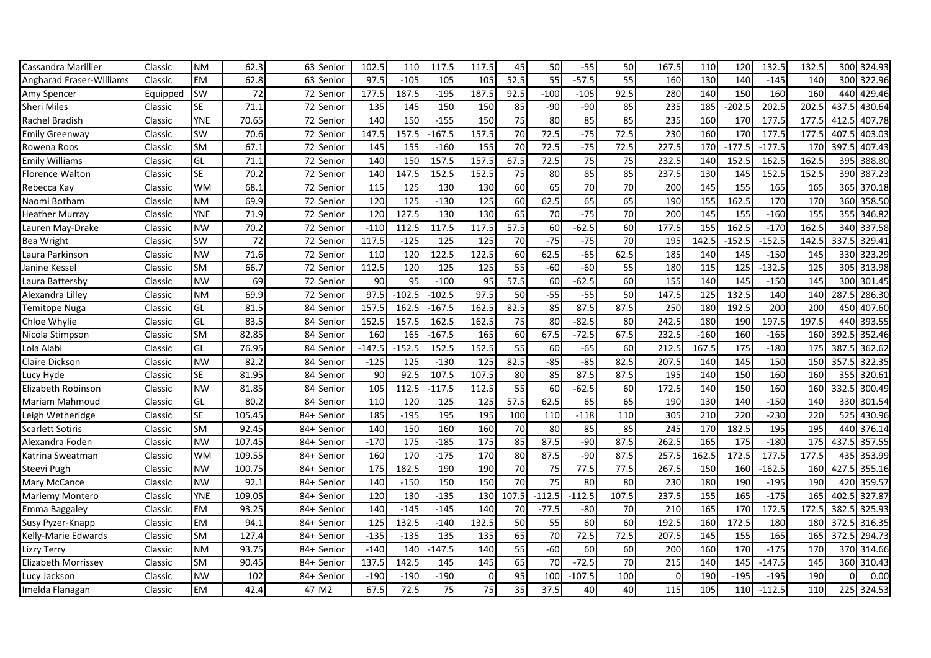| Cassandra Marillier      | Classic  | NΜ         | 62.3   |        | 63 Senior  | 102.5    | 110      | 117.5    | 117.5           | 45              | 50              | $-55$    | 50              | 167.5    | 110    | 120               | 132.5    | 132.5             |       | 300 324.93 |
|--------------------------|----------|------------|--------|--------|------------|----------|----------|----------|-----------------|-----------------|-----------------|----------|-----------------|----------|--------|-------------------|----------|-------------------|-------|------------|
| Angharad Fraser-Williams | Classic  | EM         | 62.8   |        | 63 Senior  | 97.      | $-105$   | 105      | 105             | 52.5            | 55              | $-57.5$  | 55              | 160      | 130    | 140               | $-145$   | 140               | 300   | 322.96     |
| Amy Spencer              | Equipped | SW         | 72     |        | 72 Senior  | 177.5    | 187.5    | $-195$   | 187.5           | 92.5            | $-100$          | $-105$   | 92.5            | 280      | 140    | 150               | 160      | 160               | 440   | 429.46     |
| <b>Sheri Miles</b>       | Classic  | <b>SE</b>  | 71.1   |        | 72 Senior  | 135      | 145      | 150      | 150             | 85              | $-90$           | $-90$    | 85              | 235      | 185    | $-202.5$          | 202.5    | 202.5             | 437.5 | 430.64     |
| Rachel Bradish           | Classic  | <b>YNE</b> | 70.65  |        | 72 Senior  | 140      | 150      | $-155$   | 150             | 75              | 80              | 85       | 85              | 235      | 160    | 170               | 177.5    | 177.5             | 412   | 407.78     |
| Emily Greenway           | Classic  | SW         | 70.6   |        | 72 Senior  | 147.5    | 157.5    | $-167.5$ | 157.5           | 70              | 72.5            | $-75$    | 72.5            | 230      | 160    | 170               | 177.5    | 177.5             | 407.  | 403.03     |
| Rowena Roos              | Classic  | SM         | 67.1   | 72     | Senior     | 145      | 155      | $-160$   | 155             | $\overline{70}$ | 72.5            | $-75$    | 72.5            | 227.5    | 170    | $-177.5$          | $-177.5$ | $\overline{170}$  | 397.5 | 407.43     |
| Emily Williams           | Classic  | GL         | 71.1   |        | 72 Senior  | 140      | 150      | 157.5    | 157.5           | 67.5            | 72.5            | 75       | 75              | 232.5    | 140    | 152.              | 162.5    | 162.5             | 395   | 388.80     |
| Florence Walton          | Classic  | SE         | 70.2   |        | 72 Senior  | 140      | 147.5    | 152.5    | 152.5           | 75              | 80              | 85       | 85              | 237.5    | 130    | 145               | 152.5    | 152.5             | 390   | 387.23     |
| Rebecca Kay              | Classic  | <b>WM</b>  | 68.1   |        | 72 Senior  | 115      | 125      | 130      | 130             | 60              | 65              | 70       | 70              | 200      | 145    | 155               | 165      | 165               | 365   | 370.18     |
| Naomi Botham             | Classic  | <b>NM</b>  | 69.9   |        | 72 Senior  | 120      | 125      | $-130$   | 125             | 60              | 62.5            | 65       | 65              | 190      | 155    | 162.5             | 170      | 170               | 360   | 358.50     |
| <b>Heather Murray</b>    | Classic  | <b>YNE</b> | 71.9   |        | 72 Senior  | 120      | 127.5    | 130      | 130             | 65              | 70              | $-75$    | 70              | 200      | 145    | 155               | $-160$   | 155               | 355   | 346.82     |
| Lauren May-Drake         | Classic  | <b>NW</b>  | 70.2   |        | 72 Senior  | $-110$   | 112.5    | 117.5    | 117.5           | 57.5            | 60              | $-62.5$  | 60              | 177.5    | 155    | 162.5             | $-170$   | 162.5             | 340   | 337.58     |
| Bea Wright               | Classic  | SW         | 72     | 72     | Senior     | 117.5    | $-125$   | 125      | 125             | 70              | $-75$           | $-75$    | $\overline{70}$ | 195      | 142.5  | $-152.5$          | $-152.5$ | 142.5             | 337.5 | 329.41     |
| Laura Parkinson          | Classic  | <b>NW</b>  | 71.6   |        | 72 Senior  | 110      | 120      | 122.5    | 122.5           | 60              | 62.5            | $-65$    | 62.5            | 185      | 140    | 145               | $-150$   | 145               | 330   | 323.29     |
| Janine Kessel            | Classic  | SM         | 66.7   |        | 72 Senior  | 112.5    | 120      | 125      | 125             | 55              | $-60$           | $-60$    | 55              | 180      | 115    | 125               | $-132.5$ | 125               | 305   | 313.98     |
| Laura Battersby          | Classic  | <b>NW</b>  | 69     |        | 72 Senior  | 90       | 95       | $-100$   | 95              | 57.5            | 60              | $-62.5$  | 60              | 155      | 140    | 145               | $-150$   | 145               | 300   | 301.45     |
| Alexandra Lilley         | Classic  | <b>NM</b>  | 69.9   |        | 72 Senior  | 97.5     | $-102.5$ | $-102.5$ | 97.5            | 50              | $-55$           | $-55$    | 50              | 147.5    | 125    | 132.5             | 140      | 140               | 287.  | 286.30     |
| Temitope Nuga            | Classic  | GL         | 81.5   |        | 84 Senior  | 157.5    | 162.5    | $-167.5$ | 162.5           | 82.5            | 85              | 87.5     | 87.5            | 250      | 180    | 192.5             | 200      | 200               | 450   | 407.60     |
| Chloe Whylie             | Classic  | GL         | 83.5   |        | 84 Senior  | 152.5    | 157.5    | 162.5    | 162.5           | 75              | 80              | $-82.5$  | 80              | 242.5    | 180    | 190               | 197.5    | 197.5             | 440   | 393.55     |
| Nicola Stimpson          | Classic  | <b>SM</b>  | 82.85  | 84     | Senior     | 160      | 165      | $-167.5$ | 165             | 60              | 67.5            | $-72.5$  | 67.5            | 232.5    | $-160$ | 160               | $-165$   | 160               | 392.5 | 352.46     |
| Lola Alabi               | Classic  | GL         | 76.95  |        | 84 Senior  | $-147.5$ | $-152.5$ | 152.5    | 152.5           | 55              | 60              | $-65$    | 60              | 212.5    | 167.5  | $\frac{175}{175}$ | $-180$   | $\frac{175}{175}$ | 387.5 | 362.62     |
| Claire Dickson           | Classic  | <b>NW</b>  | 82.2   |        | 84 Senior  | $-125$   | 125      | $-130$   | 125             | 82.5            | $-85$           | $-85$    | 82.5            | 207.5    | 140    | 145               | 150      | 150               | 357.5 | 322.35     |
| Lucy Hyde                | Classic  | <b>SE</b>  | 81.95  |        | 84 Senior  | 90       | 92.5     | 107.5    | 107.5           | 80              | 85              | 87.5     | 87.5            | 195      | 140    | 150               | 160      | 160               | 355   | 320.61     |
| Elizabeth Robinson       | Classic  | <b>NW</b>  | 81.85  |        | 84 Senior  | 105      | 112.5    | $-117.5$ | 112.5           | 55              | 60              | $-62.5$  | 60              | 172.5    | 140    | 150               | 160      | 160               | 332.5 | 300.49     |
| Mariam Mahmoud           | Classic  | GL         | 80.2   |        | 84 Senior  | 110      | 120      | 125      | 125             | 57.5            | 62.5            | 65       | 65              | 190      | 130    | 140               | $-150$   | 140               | 330   | 301.54     |
| Leigh Wetheridge         | Classic  | <b>SE</b>  | 105.45 | $84 +$ | Senior     | 185      | $-195$   | 195      | 195             | 100             | 110             | $-118$   | 110             | 305      | 210    | 220               | $-230$   | 220               | 525   | 430.96     |
| Scarlett Sotiris         | Classic  | <b>SM</b>  | 92.45  | $84+$  | Senior     | 140      | 150      | 160      | 160             | 70              | 80              | 85       | 85              | 245      | 170    | 182.5             | 195      | 195               | 440   | 376.14     |
| Alexandra Foden          | Classic  | <b>NW</b>  | 107.45 | $84+$  | Senior     | $-170$   | 175      | $-185$   | $\frac{175}{ }$ | 85              | 87.5            | $-90$    | 87.5            | 262.5    | 165    | $\frac{175}{2}$   | $-180$   | 175               | 437.5 | 357.55     |
| Katrina Sweatman         | Classic  | <b>WM</b>  | 109.55 |        | 84+ Senior | 160      | 170      | $-175$   | 170             | 80              | 87.5            | $-90$    | 87.5            | 257.5    | 162.5  | 172.5             | 177.5    | 177.5             | 435   | 353.99     |
| Steevi Pugh              | Classic  | <b>NW</b>  | 100.75 | $84+$  | Senior     | 175      | 182.5    | 190      | 190             | 70              | 75              | 77.5     | 77.5            | 267.5    | 150    | 160               | $-162.5$ | 160               | 427.  | 355.16     |
| Mary McCance             | Classic  | <b>NW</b>  | 92.1   | $84 +$ | Senior     | 140      | $-150$   | 150      | 150             | $\overline{70}$ | $\overline{75}$ | 80       | 80              | 230      | 180    | 190               | $-195$   | 190               | 420   | 359.57     |
| Mariemy Montero          | Classic  | <b>YNE</b> | 109.05 | $84 +$ | Senior     | 120      | 130      | $-135$   | 130             | 107.5           | $-112.5$        | $-112.5$ | 107.5           | 237.5    | 155    | 165               | $-175$   | 165               | 402.  | 327.87     |
| Emma Baggaley            | Classic  | <b>EM</b>  | 93.25  | $84 +$ | Senior     | 140      | $-145$   | $-145$   | 140             | 70              | $-77.5$         | $-80$    | 70              | 210      | 165    | 170               | 172.5    | 172.5             | 382.  | 325.93     |
| Susy Pyzer-Knapp         | Classic  | EM         | 94.1   | $84+$  | Senior     | 125      | 132.5    | $-140$   | 132.5           | 50              | 55              | 60       | 60              | 192.5    | 160    | 172.5             | 180      | 180               | 372.5 | 316.35     |
| Kelly-Marie Edwards      | Classic  | <b>SM</b>  | 127.4  | $84+$  | Senior     | $-135$   | $-135$   | 135      | 135             | 65              | 70              | 72.5     | 72.5            | 207.5    | 145    | 155               | 165      | 165               | 372.5 | 294.73     |
| Lizzy Terry              | Classic  | NM         | 93.75  | $84 +$ | Senior     | $-140$   | 140      | $-147.5$ | 140             | 55              | $-60$           | 60       | 60              | 200      | 160    | 170               | $-175$   | 170               | 370   | 314.66     |
| Elizabeth Morrissey      | Classic  | SM         | 90.45  | $84 +$ | Senior     | 137.5    | 142.5    | 145      | 145             | 65              | 70              | $-72.5$  | 70              | 215      | 140    | 145               | $-147.5$ | 145               | 360   | 310.43     |
| Lucy Jackson             | Classic  | <b>NW</b>  | 102    | $84+$  | Senior     | $-190$   | $-190$   | $-190$   | 0               | 95              | 100             | $-107.5$ | 100             | $\Omega$ | 190    | $-195$            | $-195$   | 190               |       | 0.00       |
| Imelda Flanagan          | Classic  | <b>EM</b>  | 42.4   |        | 47 M2      | 67.5     | 72.5     | 75       | 75              | 35              | 37.5            | 40       | 40              | 115      | 105    | 110               | $-112.5$ | 110               |       | 225 324.53 |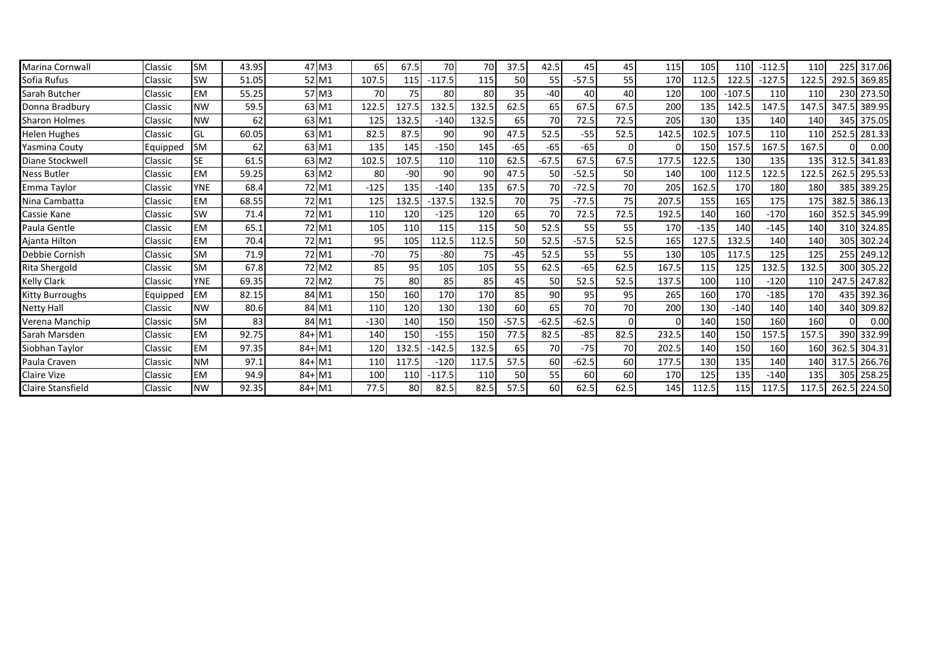| Marina Cornwall        | Classic  | <b>SM</b>  | 43.95 |          | 47 M3             | 65     | 67.5  | 70       | 70    | 37.5      | 42.5    | 45      | 45       | 115      | 105    | 110      | $-112.5$ | 110   | 225   | 317.06       |
|------------------------|----------|------------|-------|----------|-------------------|--------|-------|----------|-------|-----------|---------|---------|----------|----------|--------|----------|----------|-------|-------|--------------|
| Sofia Rufus            | Classic  | SW         | 51.05 |          | 52 M1             | 107.5  | 115   | $-117.5$ | 115   | 50        | 55      | $-57.5$ | 55       | 170      | 112.5  | 122.5    | $-127.5$ | 122.5 | 292.5 | 369.85       |
| Sarah Butcher          | Classic  | <b>EM</b>  | 55.25 |          | 57 M3             | 70     | 75    | 80       | 80    | 35        | $-40$   | 40      | 40       | 120      | 100    | $-107.5$ | 110      | 110   | 230   | 273.50       |
| Donna Bradbury         | Classic  | <b>NW</b>  | 59.5  |          | 63 M1             | 122.5  | 127.5 | 132.5    | 132.5 | 62.5      | 65      | 67.5    | 67.5     | 200      | 135    | 142.5    | 147.5    | 147.5 | 347.5 | 389.95       |
| <b>Sharon Holmes</b>   | Classic  | <b>NW</b>  | 62    |          | 63 M1             | 125    | 132.5 | $-140$   | 132.5 | 65        | 70      | 72.5    | 72.5     | 205      | 130    | 135      | 140      | 140   | 345   | 375.05       |
| Helen Hughes           | Classic  | GL         | 60.05 |          | 63 M1             | 82.5   | 87.5  | 90       | 90    | 47.5      | 52.5    | $-55$   | 52.5     | 142.5    | 102.5  | 107.5    | 110      | 110   | 252.5 | 281.33       |
| Yasmina Couty          | Equipped | <b>SM</b>  | 62    |          | 63 M1             | 135    | 145   | $-150$   | 145   | $-65$     | $-65$   | $-65$   |          | $\Omega$ | 150    | 157.5    | 167.5    | 167.5 |       | 0.00         |
| Diane Stockwell        | Classic  | <b>SE</b>  | 61.5  |          | 63 M <sub>2</sub> | 102.5  | 107.5 | 110      | 110   | 62.5      | $-67.5$ | 67.5    | 67.5     | 177.5    | 122.5  | 130      | 135      | 135   | 312.5 | 341.83       |
| <b>Ness Butler</b>     | Classic  | <b>EM</b>  | 59.25 |          | 63 M <sub>2</sub> | 80     | $-90$ | 90       | 90    | 47.5      | 50      | $-52.5$ | 50       | 140      | 100    | 112.5    | 122.5    | 122.5 | 262.5 | 295.53       |
| Emma Taylor            | Classic  | <b>YNE</b> | 68.4  |          | 72 M1             | $-125$ | 135   | $-140$   | 135   | 67.5      | 70      | $-72.5$ | 70       | 205      | 162.5  | 170      | 180      | 180   | 385   | 389.25       |
| Nina Cambatta          | Classic  | <b>EM</b>  | 68.55 |          | 72 M1             | 125    | 132.5 | $-137.5$ | 132.5 | 70        | 75      | $-77.5$ | 75       | 207.5    | 155    | 165      | 175      | 175   | 382.5 | 386.13       |
| Cassie Kane            | Classic  | SW         | 71.4  |          | 72 M1             | 110    | 120   | $-125$   | 120   | 65        | 70      | 72.5    | 72.5     | 192.5    | 140    | 160      | $-170$   | 160   | 352.5 | 345.99       |
| Paula Gentle           | Classic  | <b>EM</b>  | 65.1  |          | 72 M1             | 105    | 110   | 115      | 115   | 50        | 52.5    | 55      | 55       | 170      | $-135$ | 140      | $-145$   | 140   |       | 310 324.85   |
| Ajanta Hilton          | Classic  | <b>EM</b>  | 70.4  |          | 72 M1             | 95     | 105   | 112.5    | 112.5 | 50        | 52.5    | $-57.5$ | 52.5     | 165      | 127.5  | 132.5    | 140      | 140   |       | 305 302.24   |
| Debbie Cornish         | Classic  | <b>SM</b>  | 71.9  |          | 72 M1             | $-70$  | 75    | $-80$    | 75    | $-45$     | 52.5    | 55      | 55       | 130      | 105    | 117.5    | 125      | 125   | 255   | 249.12       |
| Rita Shergold          | Classic  | <b>SM</b>  | 67.8  |          | 72 M <sub>2</sub> | 85     | 95    | 105      | 105   | 55        | 62.5    | $-65$   | 62.5     | 167.5    | 115    | 125      | 132.5    | 132.5 | 300   | 305.22       |
| <b>Kelly Clark</b>     | Classic  | <b>YNE</b> | 69.35 |          | 72 M <sub>2</sub> | 75     | 80    | 85       | 85    | 45        | 50      | 52.5    | 52.5     | 137.5    | 100    | 110      | $-120$   | 110   | 247.5 | 247.82       |
| <b>Kitty Burroughs</b> | Equipped | <b>EM</b>  | 82.15 |          | 84 M1             | 150    | 160   | 170      | 170   | 85        | 90      | 95      | 95       | 265      | 160    | 170      | $-185$   | 170   | 435   | 392.36       |
| <b>Netty Hall</b>      | Classic  | <b>NW</b>  | 80.6  |          | 84 M1             | 110    | 120   | 130      | 130   | <b>60</b> | 65      | 70      | 70       | 200      | 130    | $-140$   | 140      | 140   | 340   | 309.82       |
| Verena Manchip         | Classic  | <b>SM</b>  | 83    |          | 84 M1             | $-130$ | 140   | 150      | 150   | $-57.5$   | $-62.5$ | $-62.5$ | $\Omega$ | $\Omega$ | 140    | 150      | 160      | 160   |       | 0.00         |
| Sarah Marsden          | Classic  | <b>EM</b>  | 92.75 | $84+$ M1 |                   | 140    | 150   | $-155$   | 150   | 77.5      | 82.5    | $-85$   | 82.5     | 232.5    | 140    | 150      | 157.5    | 157.5 | 390   | 332.99       |
| Siobhan Taylor         | Classic  | <b>EM</b>  | 97.35 | $84+$ M1 |                   | 120    | 132.5 | $-142.5$ | 132.5 | 65        | 70      | $-75$   | 70       | 202.5    | 140    | 150      | 160      | 160   | 362.5 | 304.31       |
| Paula Craven           | Classic  | <b>NM</b>  | 97.1  | $84+$ M1 |                   | 110    | 117.5 | $-120$   | 117.5 | 57.5      | 60      | $-62.5$ | 60       | 177.5    | 130    | 135      | 140      | 140   | 317.5 | 266.76       |
| <b>Claire Vize</b>     | Classic  | <b>EM</b>  | 94.9  | $84+$ M1 |                   | 100    | 110   | $-117.5$ | 110   | 50        | 55      | 60      | 60       | 170      | 125    | 135      | $-140$   | 135   |       | 305 258.25   |
| Claire Stansfield      | Classic  | <b>NW</b>  | 92.35 | $84+$ M1 |                   | 77.5   | 80    | 82.5     | 82.5  | 57.5      | 60      | 62.5    | 62.5     | 145      | 112.5  | 115      | 117.5    | 117.5 |       | 262.5 224.50 |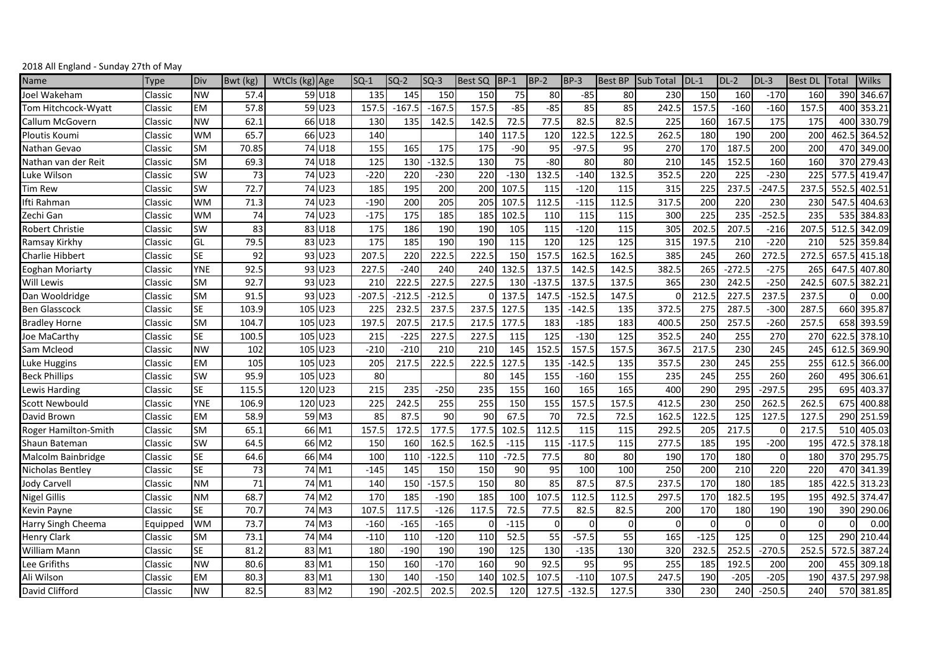| 2018 All England - Sunday 27th of May |  |
|---------------------------------------|--|
|---------------------------------------|--|

| Name                   | Type     | Div        | Bwt (kg) | WtCls (kg) Age |            | $SO-1$   | $SO-2$   | $SO-3$   | Best SQ  | <b>BP-1</b> | $BP-2$   | <b>BP-3</b> | <b>Best BP</b> | <b>Sub Total</b> | $DL-1$ | $DL-2$   | $DL-3$   | <b>Best DL</b> | Total | Wilks      |
|------------------------|----------|------------|----------|----------------|------------|----------|----------|----------|----------|-------------|----------|-------------|----------------|------------------|--------|----------|----------|----------------|-------|------------|
| Joel Wakeham           | Classic  | <b>NW</b>  | 57.4     |                | 59 U18     | 135      | 145      | 150      | 150      | 75          | 80       | $-85$       | 80             | 230              | 150    | 160      | $-170$   | 160            | 390   | 346.67     |
| Tom Hitchcock-Wyatt    | Classic  | <b>EM</b>  | 57.8     |                | 59 U23     | 157.5    | $-167.5$ | $-167.5$ | 157.5    | $-85$       | $-85$    | 85          | 85             | 242.5            | 157.5  | $-160$   | $-160$   | 157.5          | 400   | 353.21     |
| Callum McGovern        | Classic  | <b>NW</b>  | 62.1     |                | 66 U18     | 130      | 135      | 142.5    | 142.5    | 72.5        | 77.5     | 82.5        | 82.5           | 225              | 160    | 167.5    | 175      | 175            | 400   | 330.79     |
| <b>Ploutis Koumi</b>   | Classic  | <b>WM</b>  | 65.7     |                | 66 U23     | 140      |          |          | 140      | 117.5       | 120      | 122.5       | 122.5          | 262.5            | 180    | 190      | 200      | 200            | 462.5 | 364.52     |
| Nathan Gevao           | Classic  | <b>SM</b>  | 70.85    |                | 74 U18     | 155      | 165      | 175      | 175      | $-90$       | 95       | $-97.5$     | 95             | 270              | 170    | 187.5    | 200      | 200            | 470   | 349.00     |
| Nathan van der Reit    | Classic  | <b>SM</b>  | 69.3     |                | 74 U18     | 125      | 130      | $-132.5$ | 130      | 75          | $-80$    | 80          | 80             | 210              | 145    | 152.5    | 160      | 160            | 370   | 279.43     |
| Luke Wilson            | Classic  | SW         | 73       |                | 74 U23     | $-220$   | 220      | $-230$   | 220      | $-130$      | 132.5    | $-140$      | 132.5          | 352.5            | 220    | 225      | $-230$   | 225            | 577.5 | 419.47     |
| <b>Tim Rew</b>         | Classic  | <b>SW</b>  | 72.7     |                | 74 U23     | 185      | 195      | 200      | 200      | 107.5       | 115      | $-120$      | 115            | 315              | 225    | 237.5    | $-247.5$ | 237.5          | 552.5 | 402.51     |
| Ifti Rahman            | Classic  | WМ         | 71.3     |                | 74 U23     | $-190$   | 200      | 205      | 205      | 107.5       | 112.5    | $-115$      | 112.5          | 317.5            | 200    | 220      | 230      | 230            | 547.5 | 404.63     |
| Zechi Gan              | Classic  | <b>WM</b>  | 74       |                | 74 U23     | $-175$   | 175      | 185      | 185      | 102.5       | 110      | 115         | 115            | 300              | 225    | 235      | $-252.5$ | 235            | 535   | 384.83     |
| Robert Christie        | Classic  | SW         | 83       |                | 83 U18     | 175      | 186      | 190      | 190      | 105         | 115      | $-120$      | 115            | 305              | 202.5  | 207.5    | $-216$   | 207.5          | 512.5 | 342.09     |
| Ramsay Kirkhy          | Classic  | GL         | 79.5     |                | 83 U23     | 175      | 185      | 190      | 190      | 115         | 120      | 125         | 125            | 315              | 197.5  | 210      | $-220$   | 210            | 525   | 359.84     |
| <b>Charlie Hibbert</b> | Classic  | <b>SE</b>  | 92       |                | 93 U23     | 207.5    | 220      | 222.5    | 222.5    | 150         | 157.5    | 162.5       | 162.5          | 385              | 245    | 260      | 272.5    | 272.5          | 657.5 | 415.18     |
| <b>Eoghan Moriarty</b> | Classic  | <b>YNE</b> | 92.5     |                | $93$ $U23$ | 227.5    | $-240$   | 240      | 240      | 132.5       | 137.5    | 142.        | 142.5          | 382.5            | 265    | $-272.5$ | $-275$   | 265            | 647.  | 407.80     |
| <b>Will Lewis</b>      | Classic  | <b>SM</b>  | 92.7     |                | 93 U23     | 21C      | 222.     | 227.5    | 227.5    | 130         | $-137.5$ | 137.5       | 137.5          | 365              | 230    | 242.5    | $-250$   | 242.5          | 607.  | 382.21     |
| Dan Wooldridge         | Classic  | <b>SM</b>  | 91.5     |                | 93 U23     | $-207.5$ | $-212.5$ | $-212.5$ | $\Omega$ | 137.5       | 147.5    | $-152.5$    | 147.5          |                  | 212.5  | 227.5    | 237.5    | 237.5          |       | 0.00       |
| <b>Ben Glasscock</b>   | Classic  | <b>SE</b>  | 103.9    | 105 U23        |            | 225      | 232.5    | 237.5    | 237.5    | 127.5       | 135      | $-142.5$    | 135            | 372.5            | 275    | 287.5    | $-300$   | 287.5          | 660   | 395.87     |
| <b>Bradley Horne</b>   | Classic  | <b>SM</b>  | 104.7    | 105 U23        |            | 197.5    | 207.5    | 217.5    | 217.5    | 177.5       | 183      | $-185$      | 183            | 400.5            | 250    | 257.5    | $-260$   | 257.5          | 658   | 393.59     |
| Joe MaCarthy           | Classic  | <b>SE</b>  | 100.5    | 105 U23        |            | 215      | $-225$   | 227.5    | 227.5    | 115         | 125      | $-130$      | 125            | 352.5            | 240    | 255      | 270      | 270            | 622.5 | 378.10     |
| Sam Mcleod             | Classic  | <b>NW</b>  | 102      | 105 U23        |            | $-210$   | $-210$   | 210      | 210      | 145         | 152.5    | 157.5       | 157.5          | 367.5            | 217.5  | 230      | 245      | 245            | 612.5 | 369.90     |
| Luke Huggins           | Classic  | <b>EM</b>  | 105      | 105 U23        |            | 205      | 217.5    | 222.5    | 222.5    | 127.5       | 135      | $-142.5$    | 135            | 357.5            | 230    | 245      | 255      | 255            | 612.5 | 366.00     |
| <b>Beck Phillips</b>   | Classic  | <b>SW</b>  | 95.9     | 105 U23        |            | 80       |          |          | 80       | 145         | 155      | $-160$      | 155            | 235              | 245    | 255      | 260      | 260            | 495   | 306.61     |
| Lewis Harding          | Classic  | <b>SE</b>  | 115.5    | 120 U23        |            | 215      | 235      | $-250$   | 235      | 155         | 160      | 165         | 165            | 400              | 290    | 295      | $-297.5$ | 295            | 695   | 403.37     |
| <b>Scott Newbould</b>  | Classic  | YNE        | 106.9    | 120 U23        |            | 225      | 242.5    | 255      | 255      | 150         | 155      | 157.5       | 157.5          | 412.5            | 230    | 250      | 262.5    | 262.5          | 675   | 400.88     |
| David Brown            | Classic  | <b>EM</b>  | 58.9     |                | 59 M3      | 85       | 87.5     | 90       | 90       | 67.5        | 70       | 72.5        | 72.5           | 162.             | 122.5  | 125      | 127.5    | 127.5          | 290   | 251.59     |
| Roger Hamilton-Smith   | Classic  | <b>SM</b>  | 65.1     |                | 66 M1      | 157.5    | 172.5    | 177.5    | 177.5    | 102.5       | 112.5    | 115         | 115            | 292.5            | 205    | 217.5    | $\Omega$ | 217.5          | 510   | 405.03     |
| Shaun Bateman          | Classic  | SW         | 64.5     |                | 66 M2      | 150      | 160      | 162.5    | 162.5    | $-115$      | 115      | $-117.5$    | 115            | 277.5            | 185    | 195      | $-200$   | 195            | 472.5 | 378.18     |
| Malcolm Bainbridge     | Classic  | <b>SE</b>  | 64.6     |                | 66 M4      | 100      | 110      | $-122.5$ | 110      | $-72.5$     | 77.5     | 80          | 80             | 190              | 170    | 180      | $\Omega$ | 180            | 370   | 295.75     |
| Nicholas Bentley       | Classic  | <b>SE</b>  | 73       |                | 74 M1      | $-145$   | 145      | 150      | 150      | 90          | 95       | 100         | 100            | 250              | 200    | 210      | 220      | 220            | 470   | 341.39     |
| Jody Carvell           | Classic  | <b>NM</b>  | 71       |                | 74 M1      | 140      | 150      | $-157.5$ | 150      | 80          | 85       | 87.5        | 87.5           | 237.5            | 170    | 180      | 185      | 185            | 422.5 | 313.23     |
| <b>Nigel Gillis</b>    | Classic  | <b>NM</b>  | 68.7     | 74 M2          |            | 170      | 185      | $-190$   | 185      | 100         | 107.5    | 112.5       | 112.5          | 297.5            | 170    | 182.5    | 195      | 195            | 492.5 | 374.47     |
| Kevin Payne            | Classic  | <b>SE</b>  | 70.7     |                | 74 M3      | 107.5    | 117.5    | $-126$   | 117.5    | 72.5        | 77.5     | 82.5        | 82.5           | 200              | 170    | 180      | 190      | 190            | 390   | 290.06     |
| Harry Singh Cheema     | Equipped | <b>WM</b>  | 73.7     |                | 74 M3      | $-160$   | $-165$   | $-165$   | $\Omega$ | $-115$      | $\Omega$ | $\Omega$    | $\Omega$       | $\Omega$         |        | $\Omega$ | $\Omega$ | $\Omega$       |       | 0.00       |
| <b>Henry Clark</b>     | Classic  | <b>SM</b>  | 73.1     | 74 M4          |            | $-110$   | 110      | $-120$   | 110      | 52.5        | 55       | $-57.5$     | 55             | 165              | $-125$ | 125      | $\Omega$ | 125            | 290   | 210.44     |
| <b>William Mann</b>    | Classic  | <b>SE</b>  | 81.2     |                | 83 M1      | 180      | $-190$   | 190      | 190      | 125         | 130      | $-135$      | 130            | 320              | 232.5  | 252.5    | $-270.5$ | 252.5          | 572.5 | 387.24     |
| Lee Grifiths           | Classic  | <b>NW</b>  | 80.6     |                | 83 M1      | 150      | 160      | $-170$   | 160      | 90          | 92.5     | 95          | 95             | 255              | 185    | 192.5    | 200      | 200            | 455   | 309.18     |
| Ali Wilson             | Classic  | <b>EM</b>  | 80.3     |                | 83 M1      | 130      | 140      | $-150$   | 140      | 102.5       | 107.5    | $-110$      | 107.5          | 247.5            | 190    | $-205$   | $-205$   | 190            | 437.5 | 297.98     |
| David Clifford         | Classic  | <b>NW</b>  | 82.5     |                | 83 M2      | 190      | $-202.5$ | 202.5    | 202.5    | 120         | 127.5    | $-132.5$    | 127.5          | 330              | 230    | 240      | $-250.5$ | 240            |       | 570 381.85 |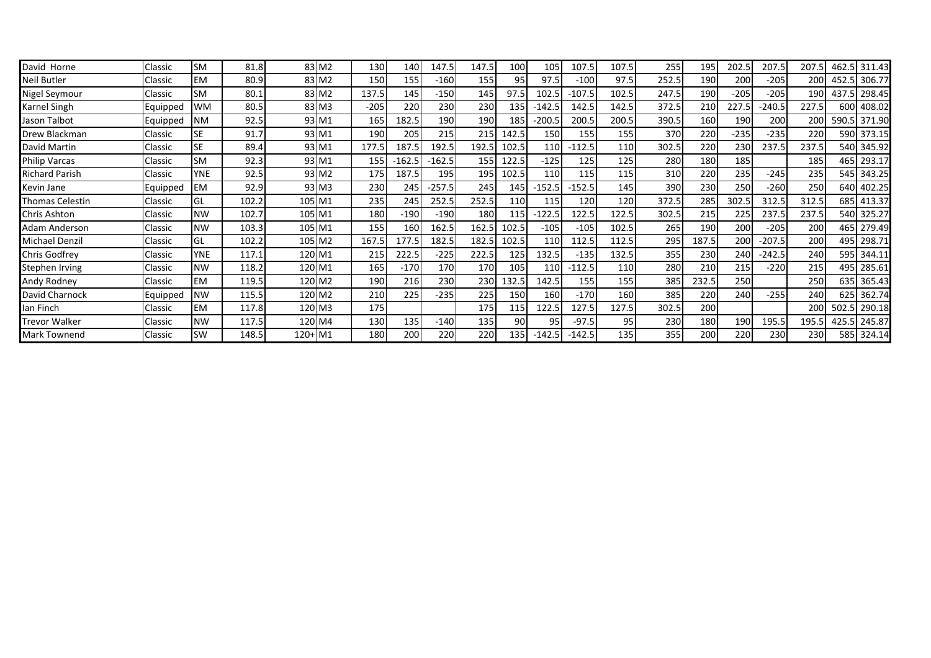| David Horne           | Classic  | <b>SM</b>  | 81.8  |        | 83 M <sub>2</sub> | 130    | 140      | 147.5    | 147.5 | 100   | 105      | 107.5    | 107.5 | 255   | 195        | 202.5  | 207.5    | 207.5        |      | 462.5 311.43 |
|-----------------------|----------|------------|-------|--------|-------------------|--------|----------|----------|-------|-------|----------|----------|-------|-------|------------|--------|----------|--------------|------|--------------|
| Neil Butler           | Classic  | <b>EM</b>  | 80.9  |        | 83 M <sub>2</sub> | 150    | 155      | $-160$   | 155   | 95    | 97.5     | $-100$   | 97.5  | 252.5 | 190        | 200    | $-205$   | 200 <b>1</b> |      | 452.5 306.77 |
| Nigel Seymour         | Classic  | <b>SM</b>  | 80.1  |        | 83 M <sub>2</sub> | 137.5  | 145      | $-150$   | 145   | 97.5  | 102.5    | $-107.5$ | 102.5 | 247.5 | 190        | $-205$ | $-205$   | 190          |      | 437.5 298.45 |
| Karnel Singh          | Equipped | <b>WM</b>  | 80.5  |        | 83 M3             | $-205$ | 220      | 230      | 230   | 135   | $-142.5$ | 142.5    | 142.5 | 372.5 | 210        | 227.5  | $-240.5$ | 227.5        | 600  | 408.02       |
| Jason Talbot          | Equipped | <b>NM</b>  | 92.5  |        | 93 M1             | 165    | 182.5    | 190      | 190   | 185   | $-200.5$ | 200.5    | 200.5 | 390.5 | 160        | 190    | 200      | 200          |      | 590.5 371.90 |
| Drew Blackman         | Classic  | <b>SE</b>  | 91.7  |        | 93 M1             | 190    | 205      | 215      | 215   | 142.5 | 150      | 155      | 155   | 370   | 220        | $-235$ | $-235$   | 220          |      | 590 373.15   |
| David Martin          | Classic  | <b>SE</b>  | 89.4  |        | 93 M1             | 177.5  | 187.5    | 192.5    | 192.5 | 102.5 | 110      | $-112.5$ | 110   | 302.5 | 220        | 230    | 237.5    | 237.5        |      | 540 345.92   |
| Philip Varcas         | Classic  | <b>SM</b>  | 92.3  |        | 93 M1             | 155    | $-162.5$ | $-162.5$ | 155   | 122.5 | $-125$   | 125      | 125   | 280   | 180        | 185    |          | 185          |      | 465 293.17   |
| <b>Richard Parish</b> | Classic  | <b>YNE</b> | 92.5  |        | 93 M <sub>2</sub> | 175    | 187.5    | 195      | 195   | 102.5 | 110      | 115      | 115   | 310   | 220        | 235    | $-245$   | 235          |      | 545 343.25   |
| Kevin Jane            | Equipped | <b>EM</b>  | 92.9  |        | 93 M3             | 230    | 245      | $-257.5$ | 245   | 145   | $-152.5$ | $-152.5$ | 145   | 390   | <b>230</b> | 250    | $-260$   | 250          |      | 640 402.25   |
| Thomas Celestin       | Classic  | GL         | 102.2 | 105 M1 |                   | 235    | 245      | 252.5    | 252.5 | 110   | 115      | 120      | 120   | 372.5 | 285        | 302.5  | 312.5    | 312.5        |      | 685 413.37   |
| Chris Ashton          | Classic  | <b>NW</b>  | 102.7 | 105 M1 |                   | 180    | $-190$   | $-190$   | 180   | 115   | $-122.5$ | 122.5    | 122.5 | 302.5 | 215        | 225    | 237.5    | 237.5        |      | 540 325.27   |
| Adam Anderson         | Classic  | <b>NW</b>  | 103.3 | 105 M1 |                   | 155    | 160      | 162.5    | 162.5 | 102.5 | $-105$   | $-105$   | 102.5 | 265   | 190        | 200    | $-205$   | 200          |      | 465 279.49   |
| Michael Denzil        | Classic  | GL         | 102.2 | 105 M2 |                   | 167.5  | 177.5    | 182.5    | 182.5 | 102.5 | 110      | 112.5    | 112.5 | 295   | 187.5      | 200    | $-207.5$ | 200          |      | 495 298.71   |
| Chris Godfrey         | Classic  | <b>YNE</b> | 117.1 | 120 M1 |                   | 215    | 222.5    | $-225$   | 222.5 | 125   | 132.5    | $-135$   | 132.5 | 355   | 230        | 240    | $-242.5$ | 240          |      | 595 344.11   |
| Stephen Irving        | Classic  | <b>NW</b>  | 118.2 | 120 M1 |                   | 165    | $-170$   | 170      | 170   | 105   | 110      | $-112.5$ | 110   | 280   | 210        | 215    | $-220$   | 215          |      | 495 285.61   |
| Andy Rodney           | Classic  | <b>EM</b>  | 119.5 | 120 M2 |                   | 190    | 216      | 230      | 230   | 132.5 | 142.5    | 155      | 155   | 385   | 232.5      | 250    |          | 250          |      | 635 365.43   |
| David Charnock        | Equipped | <b>NW</b>  | 115.5 | 120 M2 |                   | 210    | 225      | $-235$   | 225   | 150   | 160      | $-170$   | 160   | 385   | 220        | 240    | $-255$   | 240          |      | 625 362.74   |
| Ian Finch             | Classic  | <b>EM</b>  | 117.8 | 120 M3 |                   | 175    |          |          | 175   | 115   | 122.5    | 127.5    | 127.5 | 302.5 | 200        |        |          | 200          | 502. | 290.18       |
| Trevor Walker         | Classic  | <b>NW</b>  | 117.5 | 120 M4 |                   | 130    | 135      | $-140$   | 135   | 90    | 95       | $-97.5$  | 95    | 230   | 180        | 190    | 195.5    | 195.5        |      | 425.5 245.87 |
| <b>Mark Townend</b>   | Classic  | <b>SW</b>  | 148.5 | 120+M1 |                   | 180    | 200      | 220      | 220   | 135   | $-142.5$ | $-142.5$ | 135   | 355   | 200        | 2201   | 230      | 230          |      | 585 324.14   |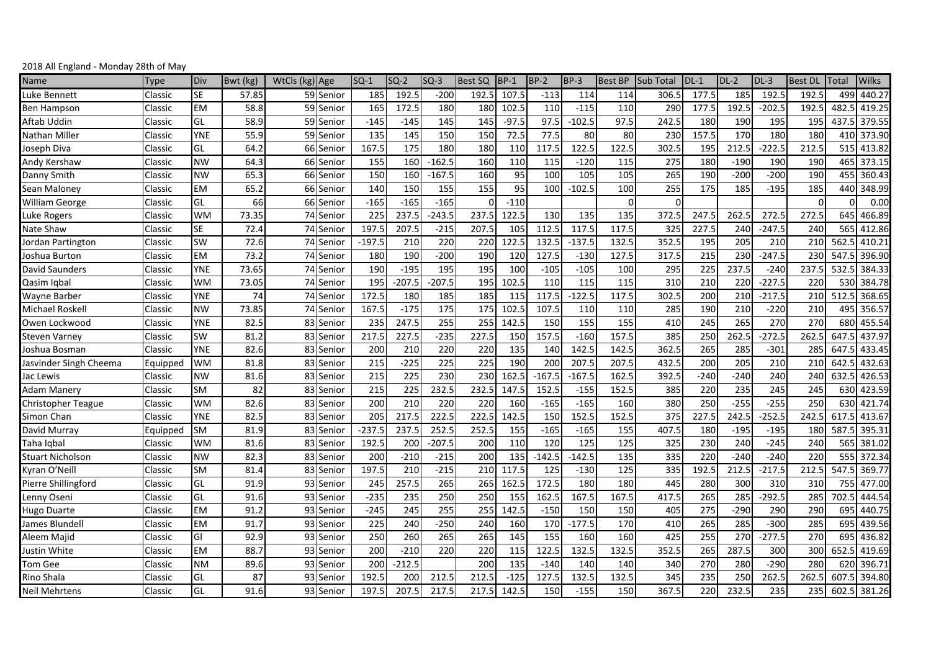| Name                   | Type     | Div        | Bwt (kg) | WtCls (kg) Age |           | $SO-1$   | SQ-2     | $SQ-3$   | <b>Best SQ</b> | $BP-1$  | $BP-2$   | $BP-3$   | <b>Best BP</b> | <b>Sub Total</b> | $DL-1$ | $DL-2$ | $DL-3$   | <b>Best DL</b> | Total           | Wilks        |
|------------------------|----------|------------|----------|----------------|-----------|----------|----------|----------|----------------|---------|----------|----------|----------------|------------------|--------|--------|----------|----------------|-----------------|--------------|
| uke Bennett.           | Classic  | <b>SE</b>  | 57.85    |                | 59 Senior | 185      | 192.5    | $-200$   | 192.5          | 107.5   | $-113$   | 114      | 114            | 306.5            | 177.5  | 185    | 192.     | 192.5          | 49 <sup>c</sup> | 440.27       |
| Ben Hampson            | Classic  | <b>EM</b>  | 58.8     |                | 59 Senior | 165      | 172.5    | 180      | 180            | 102.5   | 110      | $-115$   | 110            | 290              | 177.5  | 192.5  | $-202.5$ | 192.5          | 482.5           | 419.25       |
| Aftab Uddin            | Classic  | GL         | 58.9     |                | 59 Senior | $-145$   | $-145$   | 145      | 145            | $-97.5$ | 97.5     | $-102.5$ | 97.5           | 242.5            | 180    | 190    | 195      | 195            | 437.5           | 379.55       |
| Nathan Miller          | Classic  | <b>YNE</b> | 55.9     |                | 59 Senior | 135      | 145      | 150      | 150            | 72.5    | 77.5     | 80       | 80             | 230              | 157.5  | 170    | 180      | 180            | 410             | 373.90       |
| Joseph Diva            | Classic  | GL         | 64.2     |                | 66 Senior | 167.5    | 175      | 180      | 180            | 110     | 117.5    | 122.5    | 122.5          | 302.5            | 195    | 212.5  | $-222.5$ | 212.5          | 515             | 413.82       |
| Andy Kershaw           | Classic  | <b>NW</b>  | 64.3     |                | 66 Senior | 155      | 160      | $-162.5$ | 160            | 110     | 115      | $-120$   | 115            | 275              | 180    | $-190$ | 190      | 190            | 465             | 373.15       |
| Danny Smith            | Classic  | <b>NW</b>  | 65.3     |                | 66 Senior | 150      | 160      | $-167.5$ | 160            | 95      | 100      | 105      | 105            | 265              | 190    | $-200$ | $-200$   | 190            | 455             | 360.43       |
| Sean Maloney           | Classic  | <b>EM</b>  | 65.2     |                | 66 Senior | 140      | 150      | 155      | 155            | 95      | 100      | $-102.5$ | 100            | 255              | 175    | 185    | $-195$   | 185            | 440             | 348.99       |
| William George         | Classic  | GL         | 66       |                | 66 Senior | $-165$   | $-165$   | $-165$   | $\Omega$       | $-110$  |          |          | $\Omega$       | $\Omega$         |        |        |          | $\Omega$       |                 | 0.00         |
| Luke Rogers            | Classic  | <b>WM</b>  | 73.35    |                | 74 Senior | 225      | 237.5    | $-243.5$ | 237.5          | 122.5   | 130      | 135      | 135            | 372.5            | 247.5  | 262.5  | 272.5    | 272.5          | 645             | 466.89       |
| Nate Shaw              | Classic  | <b>SE</b>  | 72.4     |                | 74 Senior | 197.     | 207.     | $-215$   | 207.5          | 105     | 112.5    | 117.5    | 117.5          | 325              | 227.5  | 240    | $-247.5$ | 240            | 565             | 412.86       |
| Jordan Partington      | Classic  | <b>SW</b>  | 72.6     |                | 74 Senior | $-197.5$ | 210      | 220      | 220            | 122.5   | 132.5    | $-137.5$ | 132.5          | 352.5            | 195    | 205    | 210      | 210            | 562.            | 410.21       |
| Joshua Burton          | Classic  | <b>EM</b>  | 73.2     |                | 74 Senior | 180      | 190      | $-200$   | 190            | 120     | 127.5    | $-130$   | 127.5          | 317.5            | 215    | 230    | $-247.5$ | 230            | 547.            | 396.90       |
| David Saunders         | Classic  | <b>YNE</b> | 73.65    |                | 74 Senior | 190      | $-195$   | 195      | 195            | 100     | $-105$   | $-105$   | 100            | 295              | 225    | 237.5  | $-240$   | 237.5          | 532.5           | 384.33       |
| Qasim Iqbal            | Classic  | <b>WM</b>  | 73.05    |                | 74 Senior | 195      | $-207.5$ | $-207.5$ | 195            | 102.5   | 110      | 115      | 115            | 310              | 210    | 220    | $-227.5$ | 220            | 530             | 384.78       |
| Wayne Barber           | Classic  | <b>YNE</b> | 74       |                | 74 Senior | 172.5    | 180      | 185      | 185            | 115     | 117.5    | $-122.5$ | 117.5          | 302.5            | 200    | 210    | $-217.5$ | 210            | 512.5           | 368.65       |
| Michael Roskell        | Classic  | <b>NW</b>  | 73.85    |                | 74 Senior | 167.5    | $-175$   | 175      | 175            | 102.5   | 107.5    | 110      | 110            | 285              | 190    | 210    | $-220$   | 210            | 495             | 356.57       |
| Owen Lockwood          | Classic  | <b>YNE</b> | 82.5     |                | 83 Senior | 235      | 247.5    | 255      | 255            | 142.5   | 150      | 155      | 155            | 410              | 245    | 265    | 270      | 270            | 680             | 455.54       |
| Steven Varney          | Classic  | <b>SW</b>  | 81.2     |                | 83 Senior | 217.5    | 227.5    | $-235$   | 227.5          | 150     | 157.5    | $-160$   | 157.5          | 385              | 250    | 262.5  | $-272.5$ | 262.5          | 647.            | 437.97       |
| Joshua Bosman          | Classic  | <b>YNE</b> | 82.6     |                | 83 Senior | 200      | 210      | 220      | 220            | 135     | 140      | 142.5    | 142.5          | 362.5            | 265    | 285    | $-301$   | 285            | 647.            | 433.45       |
| Jasvinder Singh Cheema | Equipped | <b>WM</b>  | 81.8     |                | 83 Senior | 215      | $-225$   | 225      | 225            | 190     | 200      | 207.5    | 207.5          | 432.5            | 200    | 205    | 210      | 210            | 642.5           | 432.63       |
| Jac Lewis              | Classic  | <b>NW</b>  | 81.6     |                | 83 Senior | 215      | 225      | 230      | 230            | 162.5   | $-167.5$ | $-167.5$ | 162.5          | 392.5            | $-240$ | $-240$ | 240      | 240            | 632.            | 426.53       |
| <b>Adam Manery</b>     | Classic  | <b>SM</b>  | 82       |                | 83 Senior | 215      | 225      | 232.5    | 232.5          | 147.5   | 152.5    | $-155$   | 152.5          | 385              | 220    | 235    | 245      | 245            | 63C             | 423.59       |
| Christopher Teague     | Classic  | <b>WM</b>  | 82.6     |                | 83 Senior | 200      | 210      | 220      | 220            | 160     | $-165$   | $-165$   | 160            | 380              | 250    | $-255$ | $-255$   | 250            | 630             | 421.74       |
| Simon Chan             | Classic  | <b>YNE</b> | 82.5     |                | 83 Senior | 205      | 217.5    | 222.5    | 222.5          | 142.5   | 150      | 152.5    | 152.5          | 375              | 227.5  | 242.5  | $-252.5$ | 242.5          | 617.5           | 413.67       |
| David Murray           | Equipped | <b>SM</b>  | 81.9     |                | 83 Senior | $-237.5$ | 237.5    | 252.5    | 252.5          | 155     | $-165$   | $-165$   | 155            | 407.5            | 180    | $-195$ | $-195$   | 180            | 587.5           | 395.31       |
| Taha Igbal             | Classic  | <b>WM</b>  | 81.6     |                | 83 Senior | 192.5    | 200      | $-207.5$ | 200            | 110     | 120      | 125      | 125            | 325              | 230    | 240    | $-245$   | 240            | 565             | 381.02       |
| Stuart Nicholson       | Classic  | <b>NW</b>  | 82.3     |                | 83 Senior | 200      | $-210$   | $-215$   | 200            | 135     | $-142.5$ | $-142.5$ | 135            | 335              | 220    | $-240$ | $-240$   | 220            | 555             | 372.34       |
| Kyran O'Neill          | Classic  | <b>SM</b>  | 81.4     |                | 83 Senior | 197.5    | 210      | $-215$   | 210            | 117.5   | 125      | $-130$   | 125            | 335              | 192.5  | 212.5  | $-217.5$ | 212.5          | 547.            | 369.77       |
| Pierre Shillingford    | Classic  | GL         | 91.9     |                | 93 Senior | 245      | 257.5    | 265      | 265            | 162.5   | 172.5    | 180      | 180            | 445              | 280    | 300    | 310      | 310            | 755             | 477.00       |
| Lenny Oseni            | Classic  | GL         | 91.6     |                | 93 Senior | $-235$   | 235      | 250      | 250            | 155     | 162.5    | 167.5    | 167.5          | 417.5            | 265    | 285    | $-292.5$ | 285            | 702.5           | 444.54       |
| Hugo Duarte            | Classic  | <b>EM</b>  | 91.2     |                | 93 Senior | $-245$   | 245      | 255      | 255            | 142.5   | $-150$   | 150      | 150            | 405              | 275    | $-290$ | 290      | 290            | 695             | 440.75       |
| James Blundell         | Classic  | <b>EM</b>  | 91.7     |                | 93 Senior | 225      | 240      | $-250$   | 240            | 160     | 170      | $-177.5$ | 170            | 410              | 265    | 285    | $-300$   | 285            | 695             | 439.56       |
| Aleem Majid            | Classic  | GI         | 92.9     |                | 93 Senior | 250      | 260      | 265      | 265            | 145     | 155      | 160      | 160            | 425              | 255    | 270    | $-277.5$ | 270            | 695             | 436.82       |
| Justin White           | Classic  | <b>EM</b>  | 88.7     |                | 93 Senior | 200      | $-210$   | 220      | 220            | 115     | 122.5    | 132.5    | 132.5          | 352.5            | 265    | 287.5  | 300      | 300            | 652.5           | 419.69       |
| Tom Gee                | Classic  | <b>NM</b>  | 89.6     |                | 93 Senior | 200      | $-212.5$ |          | 200            | 135     | $-140$   | 140      | 140            | 340              | 270    | 280    | $-290$   | 280            | 62C             | 396.71       |
| Rino Shala             | Classic  | GL         | 87       |                | 93 Senior | 192.5    | 200      | 212.5    | 212.5          | $-125$  | 127.5    | 132.5    | 132.5          | 345              | 235    | 250    | 262.5    | 262.5          | 607.            | 394.80       |
| <b>Neil Mehrtens</b>   | Classic  | GL         | 91.6     |                | 93 Senior | 197.5    | 207.5    | 217.5    | 217.5          | 142.5   | 150      | $-155$   | 150            | 367.5            | 220    | 232.5  | 235      | 235            |                 | 602.5 381.26 |